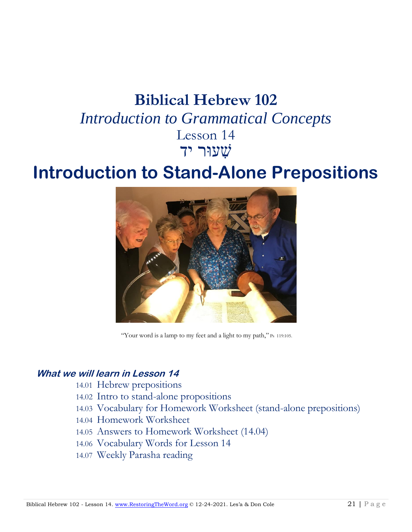# **Biblical Hebrew 102** *Introduction to Grammatical Concepts*

## Lesson 14 שׁ ִעוּר ידִ

# **Introduction to Stand-Alone Prepositions**



"Your word is a lamp to my feet and a light to my path," Ps 119:105.

### **What we will learn in Lesson 14**

- 14.01 Hebrew prepositions
- 14.02 Intro to stand-alone propositions
- 14.03 Vocabulary for Homework Worksheet (stand-alone prepositions)
- 14.04 Homework Worksheet
- 14.05 Answers to Homework Worksheet (14.04)
- 14.06 Vocabulary Words for Lesson 14
- 14.07 Weekly Parasha reading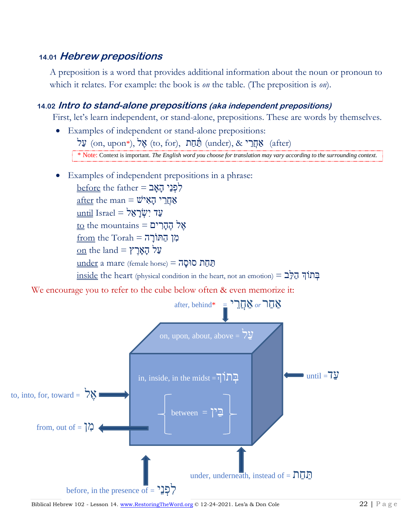## **14.01 Hebrew prepositions**

A preposition is a word that provides additional information about the noun or pronoun to which it relates. For example: the book is *on* the table. (The preposition is *on*).

#### **14.02 Intro to stand-alone prepositions (aka independent prepositions)**

First, let's learn independent, or stand-alone, prepositions. These are words by themselves.

- Examples of independent or stand-alone prepositions: עֲל (on, upon\*), אֱל (to, for), מַתַּר (under),  $\&$  קָתַר (after) \* Note: Context is important. *The English word you choose for translation may vary according to the surrounding context.*
- Examples of independent prepositions in a phrase:

 $before$  the father = לְפְנֵי  $after$  the man =  $\ddot{w}$ י האיש עַד יִשְׂרָאֱל = Israel וֹ  $\underline{\textrm{to}}$  the mountains = הֶהֶרִים  $from the Torah = \overline{a}$ מן הַתּוֹרָה  $\underline{\mathrm{on}}$  the land = עֲל תַחַת סוּסַה = (female horse) הַחַח  $\frac{\text{inside}}{\text{left}}$  the heart (physical condition in the heart, not an emotion) =  $\frac{1}{2}$ יתוֹךְ

We encourage you to refer to the cube below often & even memorize it:



Biblical Hebrew 102 - Lesson 14[. www.RestoringTheWord.org](http://www.restoringtheword.org/) © 12-24-2021. Les'a & Don Cole 22 | P a g e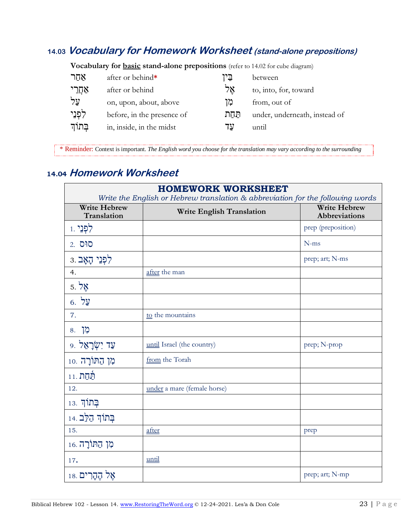## **14.03 Vocabulary for Homework Worksheet (stand-alone prepositions)**

| <b>vocabulary for <u>Dasic</u> statiu-alone prepositions</b> (refer to 14.02 for cube diagram) |                            |       |                               |  |  |  |
|------------------------------------------------------------------------------------------------|----------------------------|-------|-------------------------------|--|--|--|
| אחר                                                                                            | after or behind*           | בֵין  | between                       |  |  |  |
| אַחֲרֵי                                                                                        | after or behind            | אֵל   | to, into, for, toward         |  |  |  |
| על                                                                                             | on, upon, about, above     | מו    | from, out of                  |  |  |  |
| לִפְנֵי                                                                                        | before, in the presence of | תּחַת | under, underneath, instead of |  |  |  |
| בְּתוֹךָ                                                                                       | in, inside, in the midst   | עד    | until                         |  |  |  |
|                                                                                                |                            |       |                               |  |  |  |

**Vocabulary for basic stand-alone prepositions** (refer to 14.02 for cube diagram)

\* Reminder: Context is important. *The English word you choose for the translation may vary according to the surrounding* 

## **14.04 Homework Worksheet**

*context*.

| <b>HOMEWORK WORKSHEET</b><br>Write the English or Hebrew translation & abbreviation for the following words |                                  |                                             |  |  |  |
|-------------------------------------------------------------------------------------------------------------|----------------------------------|---------------------------------------------|--|--|--|
| <b>Write Hebrew</b><br>Translation                                                                          | <b>Write English Translation</b> | <b>Write Hebrew</b><br><b>Abbreviations</b> |  |  |  |
| לִפְנֵי <sub>1</sub>                                                                                        |                                  | prep (preposition)                          |  |  |  |
| 2. סוּס                                                                                                     |                                  | $N$ -ms                                     |  |  |  |
| לִפְנֵי הָאָב.                                                                                              |                                  | prep; art; N-ms                             |  |  |  |
| 4.                                                                                                          | after the man                    |                                             |  |  |  |
| 5. אֱל                                                                                                      |                                  |                                             |  |  |  |
| $6.$ עֲל                                                                                                    |                                  |                                             |  |  |  |
| 7.                                                                                                          | to the mountains                 |                                             |  |  |  |
| 8. לְ                                                                                                       |                                  |                                             |  |  |  |
| עַד יִשְׂרָאֵל .                                                                                            | until Israel (the country)       | prep; N-prop                                |  |  |  |
| מן הַתּוֹרָה .10                                                                                            | from the Torah                   |                                             |  |  |  |
| <u>תַּחַת 11</u>                                                                                            |                                  |                                             |  |  |  |
| 12.                                                                                                         | under a mare (female horse)      |                                             |  |  |  |
| בְּתוֹךְ <sub>13.</sub>                                                                                     |                                  |                                             |  |  |  |
| בִּתוֹךְ הַלֶּב                                                                                             |                                  |                                             |  |  |  |
| 15.                                                                                                         | after                            | prep                                        |  |  |  |
| מִן הַתּוֹרָה 16.                                                                                           |                                  |                                             |  |  |  |
| 17.                                                                                                         | until                            |                                             |  |  |  |
| אָל הֶהָרִים 18.                                                                                            |                                  | prep; art; N-mp                             |  |  |  |